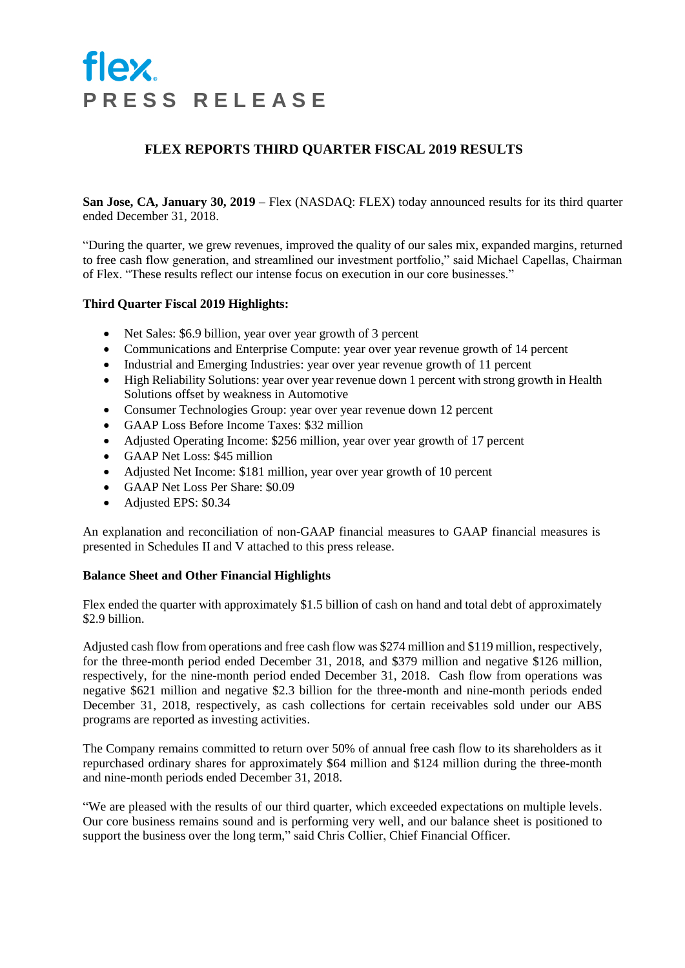#### **FLEX REPORTS THIRD QUARTER FISCAL 2019 RESULTS**

**San Jose, CA, January 30, 2019 –** Flex (NASDAQ: FLEX) today announced results for its third quarter ended December 31, 2018.

"During the quarter, we grew revenues, improved the quality of our sales mix, expanded margins, returned to free cash flow generation, and streamlined our investment portfolio," said Michael Capellas, Chairman of Flex. "These results reflect our intense focus on execution in our core businesses."

#### **Third Quarter Fiscal 2019 Highlights:**

- Net Sales: \$6.9 billion, year over year growth of 3 percent
- Communications and Enterprise Compute: year over year revenue growth of 14 percent
- Industrial and Emerging Industries: year over year revenue growth of 11 percent
- High Reliability Solutions: year over year revenue down 1 percent with strong growth in Health Solutions offset by weakness in Automotive
- Consumer Technologies Group: year over year revenue down 12 percent
- GAAP Loss Before Income Taxes: \$32 million
- Adjusted Operating Income: \$256 million, year over year growth of 17 percent
- GAAP Net Loss: \$45 million
- Adjusted Net Income: \$181 million, year over year growth of 10 percent
- GAAP Net Loss Per Share: \$0.09
- Adjusted EPS: \$0.34

An explanation and reconciliation of non-GAAP financial measures to GAAP financial measures is presented in Schedules II and V attached to this press release.

#### **Balance Sheet and Other Financial Highlights**

Flex ended the quarter with approximately \$1.5 billion of cash on hand and total debt of approximately \$2.9 billion.

Adjusted cash flow from operations and free cash flow was \$274 million and \$119 million, respectively, for the three-month period ended December 31, 2018, and \$379 million and negative \$126 million, respectively, for the nine-month period ended December 31, 2018. Cash flow from operations was negative \$621 million and negative \$2.3 billion for the three-month and nine-month periods ended December 31, 2018, respectively, as cash collections for certain receivables sold under our ABS programs are reported as investing activities.

The Company remains committed to return over 50% of annual free cash flow to its shareholders as it repurchased ordinary shares for approximately \$64 million and \$124 million during the three-month and nine-month periods ended December 31, 2018.

"We are pleased with the results of our third quarter, which exceeded expectations on multiple levels. Our core business remains sound and is performing very well, and our balance sheet is positioned to support the business over the long term," said Chris Collier, Chief Financial Officer.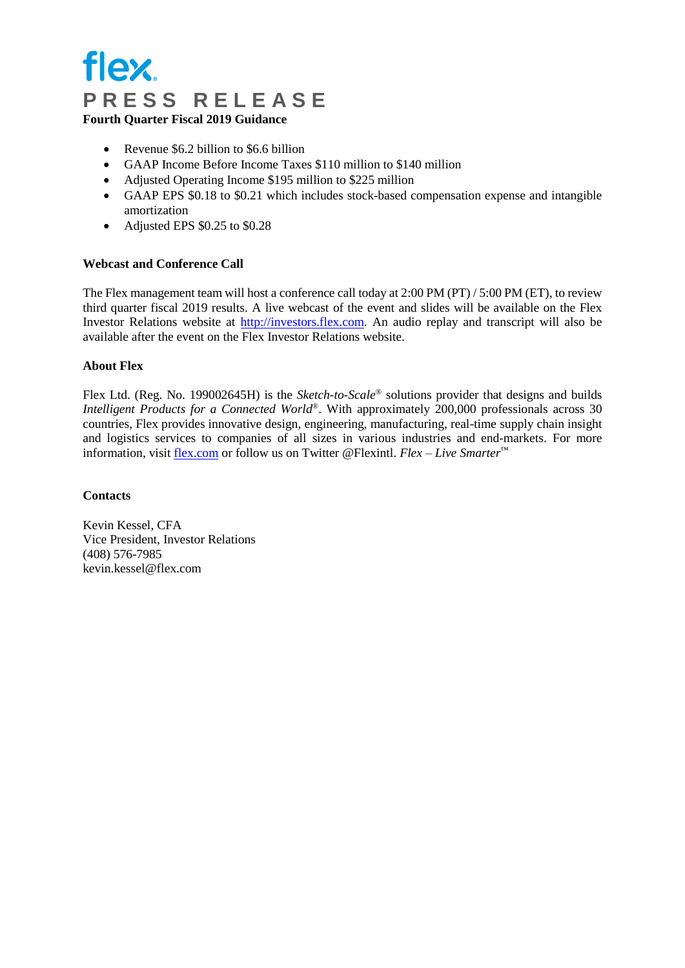### flex. **P R E S S R E L E A S E Fourth Quarter Fiscal 2019 Guidance**

#### • Revenue \$6.2 billion to \$6.6 billion

- GAAP Income Before Income Taxes \$110 million to \$140 million
- Adjusted Operating Income \$195 million to \$225 million
- GAAP EPS \$0.18 to \$0.21 which includes stock-based compensation expense and intangible amortization
- Adjusted EPS \$0.25 to \$0.28

#### **Webcast and Conference Call**

The Flex management team will host a conference call today at 2:00 PM (PT) / 5:00 PM (ET), to review third quarter fiscal 2019 results. A live webcast of the event and slides will be available on the Flex Investor Relations website at http://investors.flex.com. An audio replay and transcript will also be available after the event on the Flex Investor Relations website.

#### **About Flex**

Flex Ltd. (Reg. No. 199002645H) is the *Sketch-to-Scale*® solutions provider that designs and builds *Intelligent Products for a Connected World*®. With approximately 200,000 professionals across 30 countries, Flex provides innovative design, engineering, manufacturing, real-time supply chain insight and logistics services to companies of all sizes in various industries and end-markets. For more information, visit flex.com or follow us on Twitter @Flexintl. *Flex – Live Smarter*™

#### **Contacts**

Kevin Kessel, CFA Vice President, Investor Relations (408) 576-7985 kevin.kessel@flex.com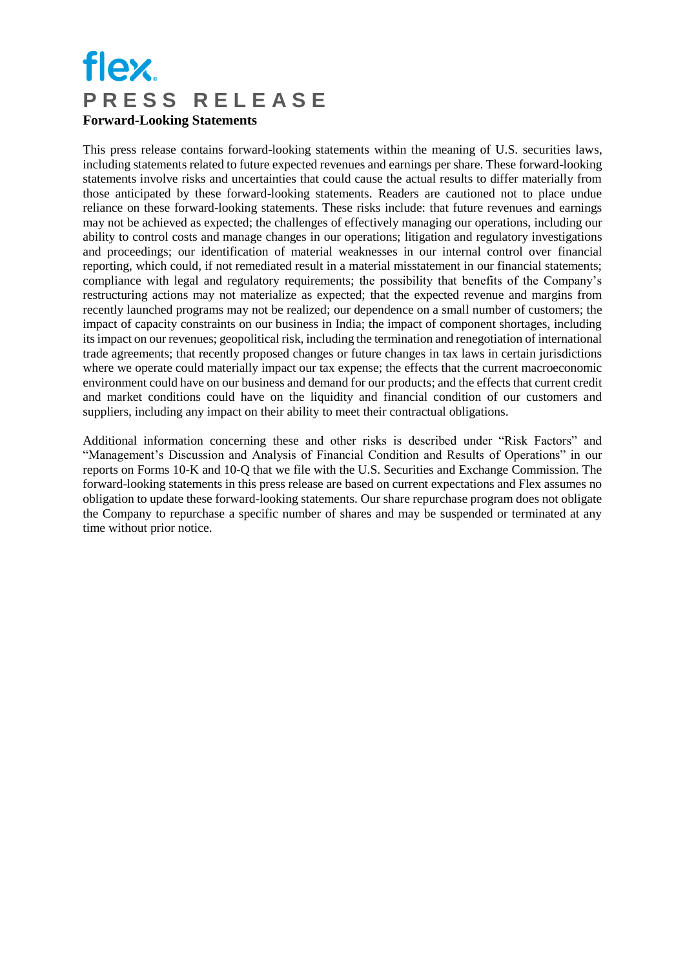### flex. **P R E S S R E L E A S E Forward-Looking Statements**

This press release contains forward-looking statements within the meaning of U.S. securities laws, including statements related to future expected revenues and earnings per share. These forward-looking statements involve risks and uncertainties that could cause the actual results to differ materially from those anticipated by these forward-looking statements. Readers are cautioned not to place undue reliance on these forward-looking statements. These risks include: that future revenues and earnings may not be achieved as expected; the challenges of effectively managing our operations, including our ability to control costs and manage changes in our operations; litigation and regulatory investigations and proceedings; our identification of material weaknesses in our internal control over financial reporting, which could, if not remediated result in a material misstatement in our financial statements; compliance with legal and regulatory requirements; the possibility that benefits of the Company's restructuring actions may not materialize as expected; that the expected revenue and margins from recently launched programs may not be realized; our dependence on a small number of customers; the impact of capacity constraints on our business in India; the impact of component shortages, including its impact on our revenues; geopolitical risk, including the termination and renegotiation of international trade agreements; that recently proposed changes or future changes in tax laws in certain jurisdictions where we operate could materially impact our tax expense; the effects that the current macroeconomic environment could have on our business and demand for our products; and the effects that current credit and market conditions could have on the liquidity and financial condition of our customers and suppliers, including any impact on their ability to meet their contractual obligations.

Additional information concerning these and other risks is described under "Risk Factors" and "Management's Discussion and Analysis of Financial Condition and Results of Operations" in our reports on Forms 10-K and 10-Q that we file with the U.S. Securities and Exchange Commission. The forward-looking statements in this press release are based on current expectations and Flex assumes no obligation to update these forward-looking statements. Our share repurchase program does not obligate the Company to repurchase a specific number of shares and may be suspended or terminated at any time without prior notice.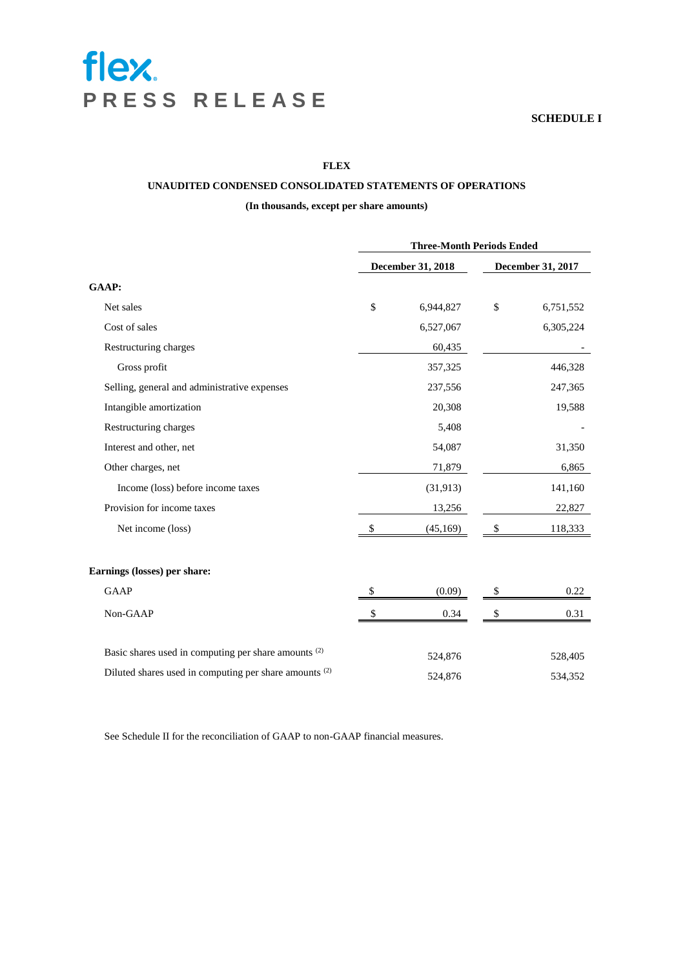**SCHEDULE I**

#### **FLEX**

#### **UNAUDITED CONDENSED CONSOLIDATED STATEMENTS OF OPERATIONS**

#### **(In thousands, except per share amounts)**

|                                                                   | <b>Three-Month Periods Ended</b> |           |                   |           |
|-------------------------------------------------------------------|----------------------------------|-----------|-------------------|-----------|
|                                                                   | December 31, 2018                |           | December 31, 2017 |           |
| <b>GAAP:</b>                                                      |                                  |           |                   |           |
| Net sales                                                         | \$                               | 6,944,827 | \$                | 6,751,552 |
| Cost of sales                                                     |                                  | 6,527,067 |                   | 6,305,224 |
| Restructuring charges                                             |                                  | 60,435    |                   |           |
| Gross profit                                                      |                                  | 357,325   |                   | 446,328   |
| Selling, general and administrative expenses                      |                                  | 237,556   |                   | 247,365   |
| Intangible amortization                                           |                                  | 20,308    |                   | 19,588    |
| Restructuring charges                                             |                                  | 5,408     |                   |           |
| Interest and other, net                                           |                                  | 54,087    |                   | 31,350    |
| Other charges, net                                                |                                  | 71,879    |                   | 6,865     |
| Income (loss) before income taxes                                 |                                  | (31, 913) |                   | 141,160   |
| Provision for income taxes                                        |                                  | 13,256    |                   | 22,827    |
| Net income (loss)                                                 | \$                               | (45, 169) | \$                | 118,333   |
| Earnings (losses) per share:                                      |                                  |           |                   |           |
| <b>GAAP</b>                                                       |                                  | (0.09)    |                   | 0.22      |
| Non-GAAP                                                          | \$                               | 0.34      | \$                | 0.31      |
| Basic shares used in computing per share amounts <sup>(2)</sup>   |                                  | 524,876   |                   | 528,405   |
| Diluted shares used in computing per share amounts <sup>(2)</sup> |                                  | 524,876   |                   | 534,352   |

See Schedule II for the reconciliation of GAAP to non-GAAP financial measures.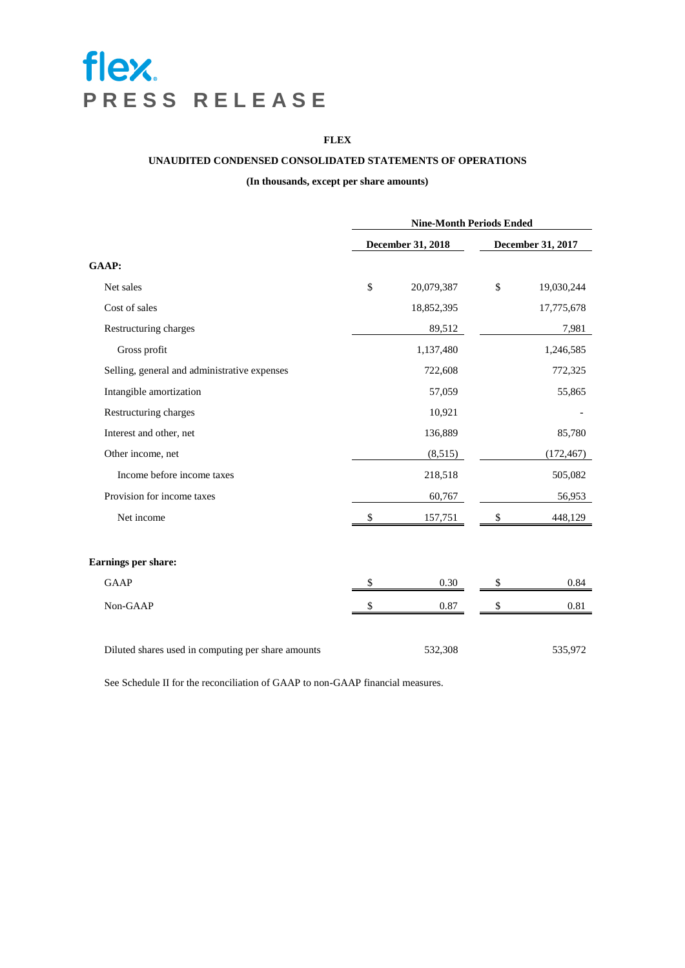#### **FLEX**

#### **UNAUDITED CONDENSED CONSOLIDATED STATEMENTS OF OPERATIONS**

#### **(In thousands, except per share amounts)**

|                                                    | <b>Nine-Month Periods Ended</b> |            |                   |            |
|----------------------------------------------------|---------------------------------|------------|-------------------|------------|
|                                                    | December 31, 2018               |            | December 31, 2017 |            |
| <b>GAAP:</b>                                       |                                 |            |                   |            |
| Net sales                                          | \$                              | 20,079,387 | \$                | 19,030,244 |
| Cost of sales                                      |                                 | 18,852,395 |                   | 17,775,678 |
| Restructuring charges                              |                                 | 89,512     |                   | 7,981      |
| Gross profit                                       |                                 | 1,137,480  |                   | 1,246,585  |
| Selling, general and administrative expenses       |                                 | 722,608    |                   | 772,325    |
| Intangible amortization                            |                                 | 57,059     |                   | 55,865     |
| Restructuring charges                              |                                 | 10,921     |                   |            |
| Interest and other, net                            |                                 | 136,889    |                   | 85,780     |
| Other income, net                                  |                                 | (8,515)    |                   | (172, 467) |
| Income before income taxes                         |                                 | 218,518    |                   | 505,082    |
| Provision for income taxes                         |                                 | 60,767     |                   | 56,953     |
| Net income                                         | \$                              | 157,751    | \$                | 448,129    |
| Earnings per share:                                |                                 |            |                   |            |
| <b>GAAP</b>                                        | \$                              | 0.30       | \$                | 0.84       |
| Non-GAAP                                           | \$                              | 0.87       | \$                | 0.81       |
| Diluted shares used in computing per share amounts |                                 | 532,308    |                   | 535,972    |

See Schedule II for the reconciliation of GAAP to non-GAAP financial measures.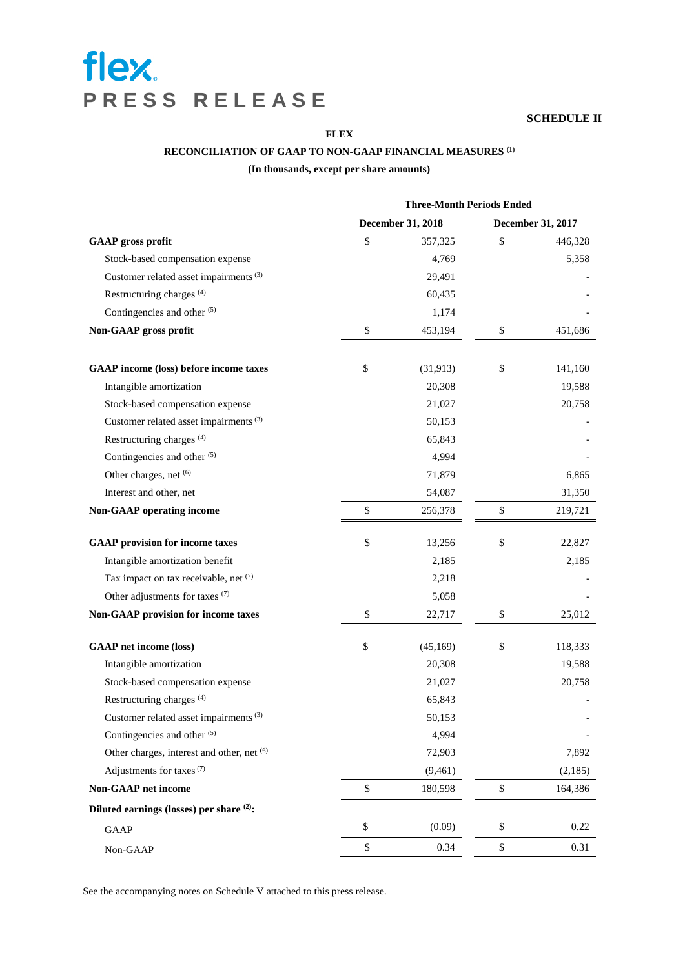#### **SCHEDULE II**

**FLEX**

#### **RECONCILIATION OF GAAP TO NON-GAAP FINANCIAL MEASURES (1)**

#### **(In thousands, except per share amounts)**

|                                                   | <b>Three-Month Periods Ended</b> |    |                          |
|---------------------------------------------------|----------------------------------|----|--------------------------|
|                                                   | December 31, 2018                |    | <b>December 31, 2017</b> |
| <b>GAAP</b> gross profit                          | \$<br>357,325                    | \$ | 446,328                  |
| Stock-based compensation expense                  | 4,769                            |    | 5,358                    |
| Customer related asset impairments <sup>(3)</sup> | 29,491                           |    |                          |
| Restructuring charges <sup>(4)</sup>              | 60,435                           |    |                          |
| Contingencies and other <sup>(5)</sup>            | 1,174                            |    |                          |
| Non-GAAP gross profit                             | \$<br>453,194                    | \$ | 451,686                  |
| <b>GAAP</b> income (loss) before income taxes     | \$<br>(31, 913)                  | \$ | 141,160                  |
| Intangible amortization                           | 20,308                           |    | 19,588                   |
| Stock-based compensation expense                  | 21,027                           |    | 20,758                   |
| Customer related asset impairments <sup>(3)</sup> | 50,153                           |    |                          |
| Restructuring charges <sup>(4)</sup>              | 65,843                           |    |                          |
| Contingencies and other <sup>(5)</sup>            | 4,994                            |    |                          |
| Other charges, net (6)                            | 71,879                           |    | 6,865                    |
| Interest and other, net                           | 54,087                           |    | 31,350                   |
| <b>Non-GAAP</b> operating income                  | \$<br>256,378                    | \$ | 219,721                  |
| <b>GAAP</b> provision for income taxes            | \$<br>13,256                     | \$ | 22,827                   |
| Intangible amortization benefit                   | 2,185                            |    | 2,185                    |
| Tax impact on tax receivable, net (7)             | 2,218                            |    |                          |
| Other adjustments for taxes <sup>(7)</sup>        | 5,058                            |    |                          |
| <b>Non-GAAP provision for income taxes</b>        | \$<br>22,717                     | \$ | 25,012                   |
| <b>GAAP</b> net income (loss)                     | \$<br>(45,169)                   | \$ | 118,333                  |
| Intangible amortization                           | 20,308                           |    | 19,588                   |
| Stock-based compensation expense                  | 21,027                           |    | 20,758                   |
| Restructuring charges <sup>(4)</sup>              | 65,843                           |    |                          |
| Customer related asset impairments <sup>(3)</sup> | 50,153                           |    |                          |
| Contingencies and other <sup>(5)</sup>            | 4,994                            |    |                          |
| Other charges, interest and other, net (6)        | 72,903                           |    | 7,892                    |
| Adjustments for taxes <sup>(7)</sup>              | (9,461)                          |    | (2,185)                  |
| Non-GAAP net income                               | \$<br>180,598                    | \$ | 164,386                  |
| Diluted earnings (losses) per share (2):          |                                  |    |                          |
| <b>GAAP</b>                                       | \$<br>(0.09)                     | \$ | 0.22                     |
| Non-GAAP                                          | \$<br>0.34                       | \$ | 0.31                     |

See the accompanying notes on Schedule V attached to this press release.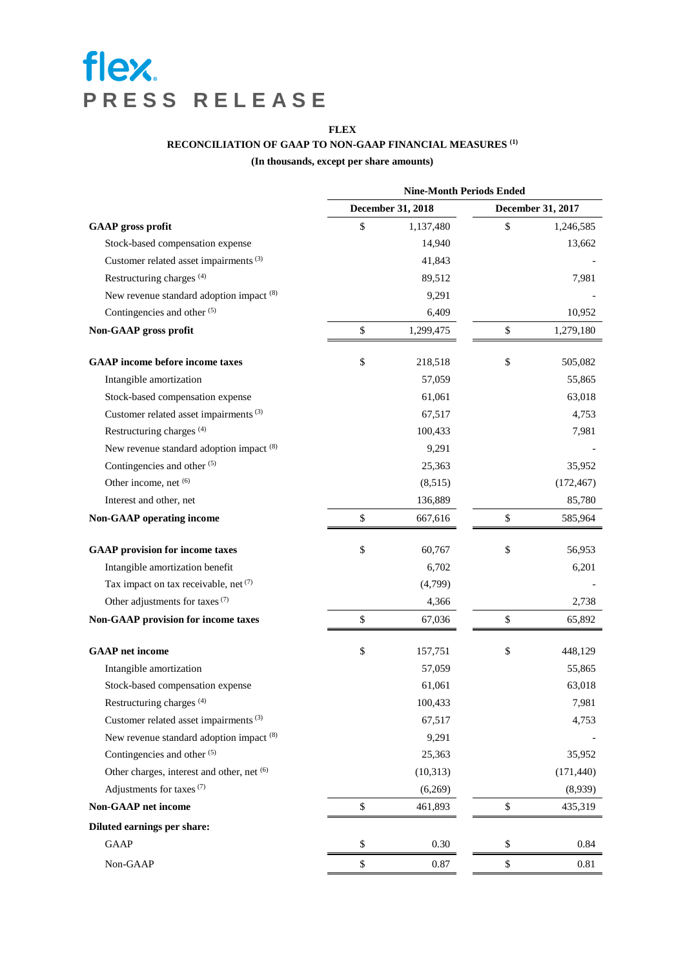#### **FLEX RECONCILIATION OF GAAP TO NON-GAAP FINANCIAL MEASURES (1)**

**(In thousands, except per share amounts)**

|                                                   | <b>Nine-Month Periods Ended</b> |                   |              |                   |
|---------------------------------------------------|---------------------------------|-------------------|--------------|-------------------|
|                                                   |                                 | December 31, 2018 |              | December 31, 2017 |
| <b>GAAP</b> gross profit                          | \$                              | 1,137,480         | \$           | 1,246,585         |
| Stock-based compensation expense                  |                                 | 14,940            |              | 13,662            |
| Customer related asset impairments <sup>(3)</sup> |                                 | 41,843            |              |                   |
| Restructuring charges <sup>(4)</sup>              |                                 | 89,512            |              | 7,981             |
| New revenue standard adoption impact (8)          |                                 | 9,291             |              |                   |
| Contingencies and other <sup>(5)</sup>            |                                 | 6,409             |              | 10,952            |
| Non-GAAP gross profit                             | \$                              | 1,299,475         | \$           | 1,279,180         |
| <b>GAAP</b> income before income taxes            | \$                              | 218,518           | \$           | 505,082           |
| Intangible amortization                           |                                 | 57,059            |              | 55,865            |
| Stock-based compensation expense                  |                                 | 61,061            |              | 63,018            |
| Customer related asset impairments <sup>(3)</sup> |                                 | 67,517            |              | 4,753             |
| Restructuring charges <sup>(4)</sup>              |                                 | 100,433           |              | 7,981             |
| New revenue standard adoption impact (8)          |                                 | 9,291             |              |                   |
| Contingencies and other <sup>(5)</sup>            |                                 | 25,363            |              | 35,952            |
| Other income, net (6)                             |                                 | (8,515)           |              | (172, 467)        |
| Interest and other, net                           |                                 | 136,889           |              | 85,780            |
| <b>Non-GAAP</b> operating income                  | \$                              | 667,616           | \$           | 585,964           |
| <b>GAAP</b> provision for income taxes            | \$                              | 60,767            | \$           | 56,953            |
| Intangible amortization benefit                   |                                 | 6,702             |              | 6,201             |
| Tax impact on tax receivable, net (7)             |                                 | (4,799)           |              |                   |
| Other adjustments for taxes <sup>(7)</sup>        |                                 | 4,366             |              | 2,738             |
| <b>Non-GAAP provision for income taxes</b>        | \$                              | 67,036            | \$           | 65,892            |
| <b>GAAP</b> net income                            | \$                              | 157,751           | \$           | 448,129           |
| Intangible amortization                           |                                 | 57,059            |              | 55,865            |
| Stock-based compensation expense                  |                                 | 61,061            |              | 63,018            |
| Restructuring charges <sup>(4)</sup>              |                                 | 100,433           |              | 7,981             |
| Customer related asset impairments <sup>(3)</sup> |                                 | 67,517            |              | 4,753             |
| New revenue standard adoption impact (8)          |                                 | 9,291             |              |                   |
| Contingencies and other <sup>(5)</sup>            |                                 | 25,363            |              | 35,952            |
| Other charges, interest and other, net (6)        |                                 | (10, 313)         |              | (171, 440)        |
| Adjustments for taxes <sup>(7)</sup>              |                                 | (6,269)           |              | (8,939)           |
| <b>Non-GAAP</b> net income                        | \$                              | 461,893           | $\mathbb{S}$ | 435,319           |
| Diluted earnings per share:                       |                                 |                   |              |                   |
| <b>GAAP</b>                                       | \$                              | 0.30              | \$           | 0.84              |
| Non-GAAP                                          | \$                              | 0.87              | \$           | 0.81              |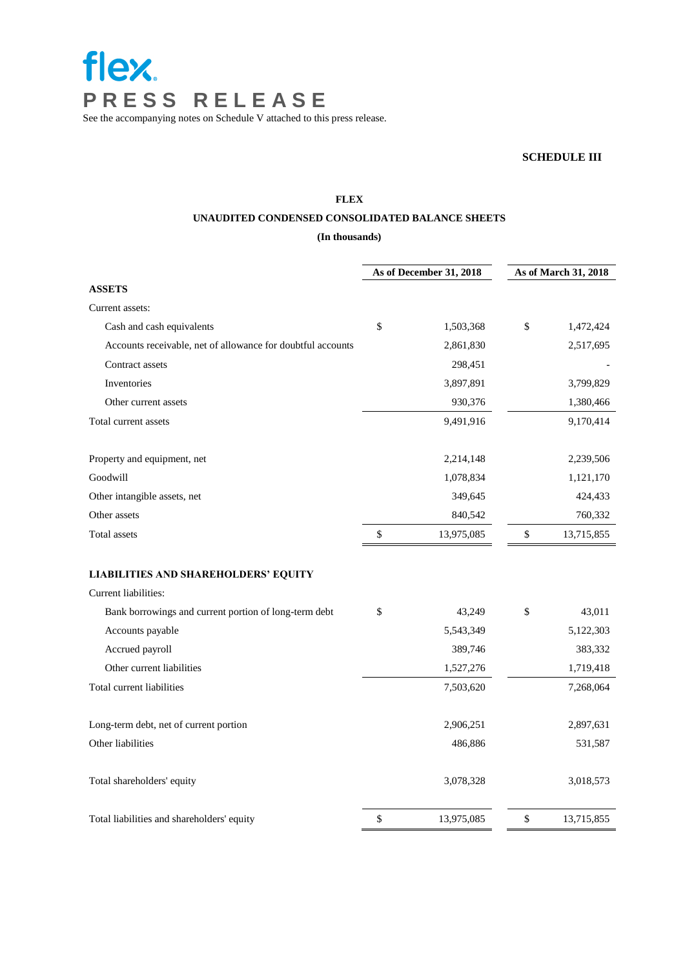

#### **SCHEDULE III**

#### **FLEX**

#### **UNAUDITED CONDENSED CONSOLIDATED BALANCE SHEETS**

#### **(In thousands)**

|                                                             | As of December 31, 2018 | As of March 31, 2018 |
|-------------------------------------------------------------|-------------------------|----------------------|
| <b>ASSETS</b>                                               |                         |                      |
| Current assets:                                             |                         |                      |
| Cash and cash equivalents                                   | \$<br>1,503,368         | \$<br>1,472,424      |
| Accounts receivable, net of allowance for doubtful accounts | 2,861,830               | 2,517,695            |
| Contract assets                                             | 298,451                 |                      |
| Inventories                                                 | 3,897,891               | 3,799,829            |
| Other current assets                                        | 930,376                 | 1,380,466            |
| Total current assets                                        | 9,491,916               | 9,170,414            |
| Property and equipment, net                                 | 2,214,148               | 2,239,506            |
| Goodwill                                                    | 1,078,834               | 1,121,170            |
| Other intangible assets, net                                | 349,645                 | 424,433              |
| Other assets                                                | 840,542                 | 760,332              |
| Total assets                                                | \$<br>13,975,085        | \$<br>13,715,855     |
| <b>LIABILITIES AND SHAREHOLDERS' EQUITY</b>                 |                         |                      |
| Current liabilities:                                        |                         |                      |
| Bank borrowings and current portion of long-term debt       | \$<br>43,249            | \$<br>43,011         |
| Accounts payable                                            | 5,543,349               | 5,122,303            |
| Accrued payroll                                             | 389,746                 | 383,332              |
| Other current liabilities                                   | 1,527,276               | 1,719,418            |
| Total current liabilities                                   | 7,503,620               | 7,268,064            |
| Long-term debt, net of current portion                      | 2,906,251               | 2,897,631            |
| Other liabilities                                           | 486,886                 | 531,587              |
| Total shareholders' equity                                  | 3,078,328               | 3,018,573            |
| Total liabilities and shareholders' equity                  | \$<br>13,975,085        | \$<br>13,715,855     |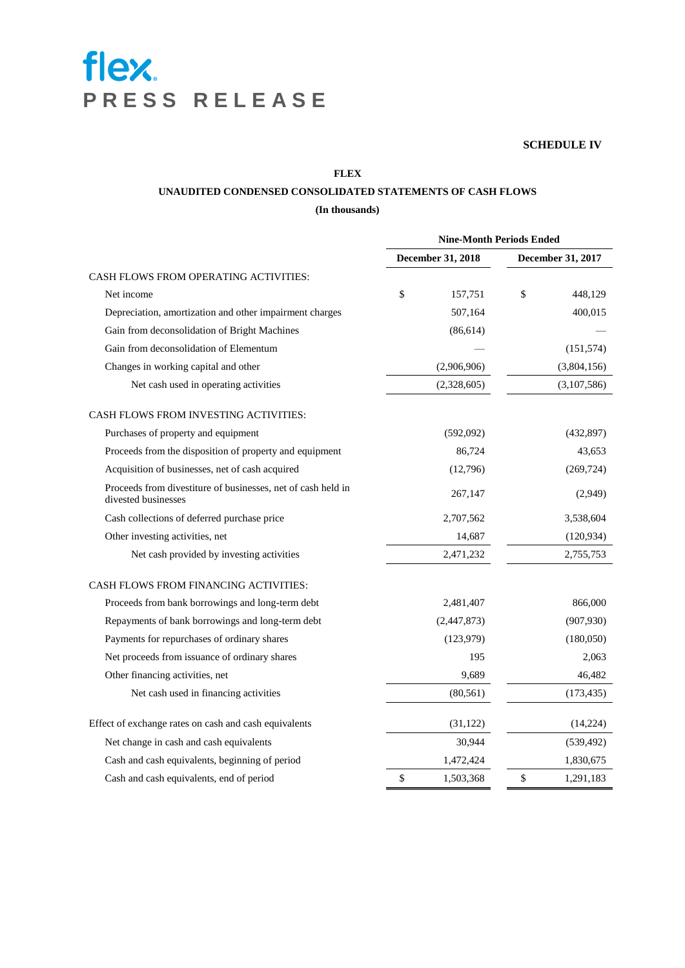#### **SCHEDULE IV**

#### **FLEX**

#### **UNAUDITED CONDENSED CONSOLIDATED STATEMENTS OF CASH FLOWS**

#### **(In thousands)**

|                                                                                     | <b>Nine-Month Periods Ended</b> |                          |  |
|-------------------------------------------------------------------------------------|---------------------------------|--------------------------|--|
|                                                                                     | December 31, 2018               | <b>December 31, 2017</b> |  |
| <b>CASH FLOWS FROM OPERATING ACTIVITIES:</b>                                        |                                 |                          |  |
| Net income                                                                          | \$<br>157,751                   | \$<br>448,129            |  |
| Depreciation, amortization and other impairment charges                             | 507,164                         | 400,015                  |  |
| Gain from deconsolidation of Bright Machines                                        | (86, 614)                       |                          |  |
| Gain from deconsolidation of Elementum                                              |                                 | (151, 574)               |  |
| Changes in working capital and other                                                | (2,906,906)                     | (3,804,156)              |  |
| Net cash used in operating activities                                               | (2,328,605)                     | (3,107,586)              |  |
| <b>CASH FLOWS FROM INVESTING ACTIVITIES:</b>                                        |                                 |                          |  |
| Purchases of property and equipment                                                 | (592,092)                       | (432,897)                |  |
| Proceeds from the disposition of property and equipment                             | 86,724                          | 43,653                   |  |
| Acquisition of businesses, net of cash acquired                                     | (12,796)                        | (269, 724)               |  |
| Proceeds from divestiture of businesses, net of cash held in<br>divested businesses | 267,147                         | (2,949)                  |  |
| Cash collections of deferred purchase price                                         | 2,707,562                       | 3,538,604                |  |
| Other investing activities, net                                                     | 14,687                          | (120, 934)               |  |
| Net cash provided by investing activities                                           | 2,471,232                       | 2,755,753                |  |
| <b>CASH FLOWS FROM FINANCING ACTIVITIES:</b>                                        |                                 |                          |  |
| Proceeds from bank borrowings and long-term debt                                    | 2,481,407                       | 866,000                  |  |
| Repayments of bank borrowings and long-term debt                                    | (2,447,873)                     | (907, 930)               |  |
| Payments for repurchases of ordinary shares                                         | (123,979)                       | (180,050)                |  |
| Net proceeds from issuance of ordinary shares                                       | 195                             | 2,063                    |  |
| Other financing activities, net                                                     | 9,689                           | 46,482                   |  |
| Net cash used in financing activities                                               | (80, 561)                       | (173, 435)               |  |
| Effect of exchange rates on cash and cash equivalents                               | (31, 122)                       | (14, 224)                |  |
| Net change in cash and cash equivalents                                             | 30,944                          | (539, 492)               |  |
| Cash and cash equivalents, beginning of period                                      | 1,472,424                       | 1,830,675                |  |
| Cash and cash equivalents, end of period                                            | \$<br>1,503,368                 | \$<br>1,291,183          |  |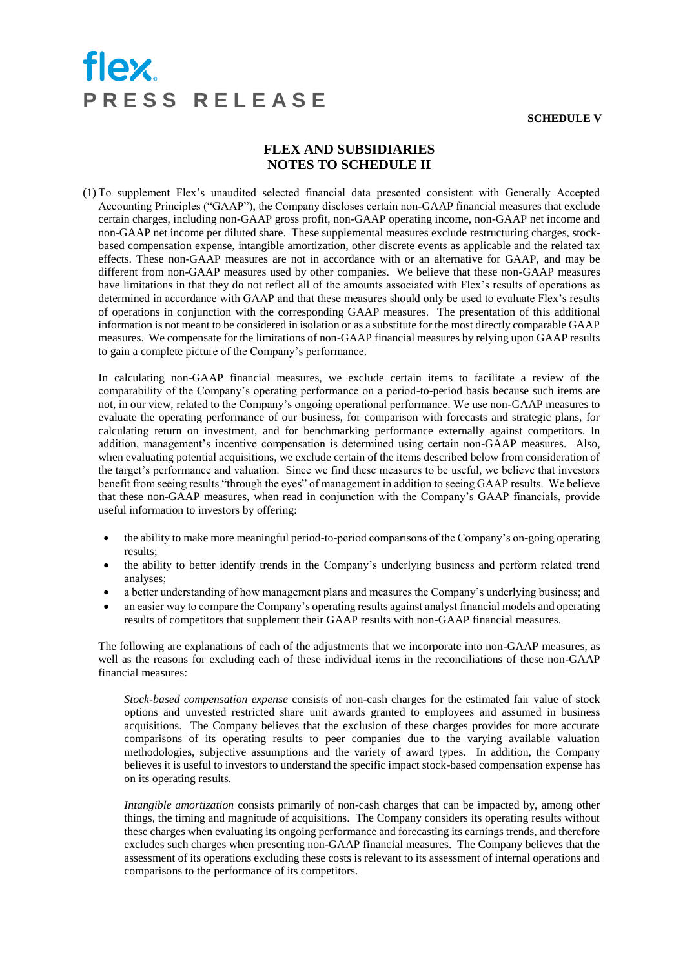**SCHEDULE V**

#### **FLEX AND SUBSIDIARIES NOTES TO SCHEDULE II**

(1) To supplement Flex's unaudited selected financial data presented consistent with Generally Accepted Accounting Principles ("GAAP"), the Company discloses certain non-GAAP financial measures that exclude certain charges, including non-GAAP gross profit, non-GAAP operating income, non-GAAP net income and non-GAAP net income per diluted share. These supplemental measures exclude restructuring charges, stockbased compensation expense, intangible amortization, other discrete events as applicable and the related tax effects. These non-GAAP measures are not in accordance with or an alternative for GAAP, and may be different from non-GAAP measures used by other companies. We believe that these non-GAAP measures have limitations in that they do not reflect all of the amounts associated with Flex's results of operations as determined in accordance with GAAP and that these measures should only be used to evaluate Flex's results of operations in conjunction with the corresponding GAAP measures. The presentation of this additional information is not meant to be considered in isolation or as a substitute for the most directly comparable GAAP measures. We compensate for the limitations of non-GAAP financial measures by relying upon GAAP results to gain a complete picture of the Company's performance.

In calculating non-GAAP financial measures, we exclude certain items to facilitate a review of the comparability of the Company's operating performance on a period-to-period basis because such items are not, in our view, related to the Company's ongoing operational performance. We use non-GAAP measures to evaluate the operating performance of our business, for comparison with forecasts and strategic plans, for calculating return on investment, and for benchmarking performance externally against competitors. In addition, management's incentive compensation is determined using certain non-GAAP measures. Also, when evaluating potential acquisitions, we exclude certain of the items described below from consideration of the target's performance and valuation. Since we find these measures to be useful, we believe that investors benefit from seeing results "through the eyes" of management in addition to seeing GAAP results. We believe that these non-GAAP measures, when read in conjunction with the Company's GAAP financials, provide useful information to investors by offering:

- the ability to make more meaningful period-to-period comparisons of the Company's on-going operating results;
- the ability to better identify trends in the Company's underlying business and perform related trend analyses;
- a better understanding of how management plans and measures the Company's underlying business; and
- an easier way to compare the Company's operating results against analyst financial models and operating results of competitors that supplement their GAAP results with non-GAAP financial measures.

The following are explanations of each of the adjustments that we incorporate into non-GAAP measures, as well as the reasons for excluding each of these individual items in the reconciliations of these non-GAAP financial measures:

*Stock-based compensation expense* consists of non-cash charges for the estimated fair value of stock options and unvested restricted share unit awards granted to employees and assumed in business acquisitions. The Company believes that the exclusion of these charges provides for more accurate comparisons of its operating results to peer companies due to the varying available valuation methodologies, subjective assumptions and the variety of award types. In addition, the Company believes it is useful to investors to understand the specific impact stock-based compensation expense has on its operating results.

*Intangible amortization* consists primarily of non-cash charges that can be impacted by, among other things, the timing and magnitude of acquisitions. The Company considers its operating results without these charges when evaluating its ongoing performance and forecasting its earnings trends, and therefore excludes such charges when presenting non-GAAP financial measures. The Company believes that the assessment of its operations excluding these costs is relevant to its assessment of internal operations and comparisons to the performance of its competitors.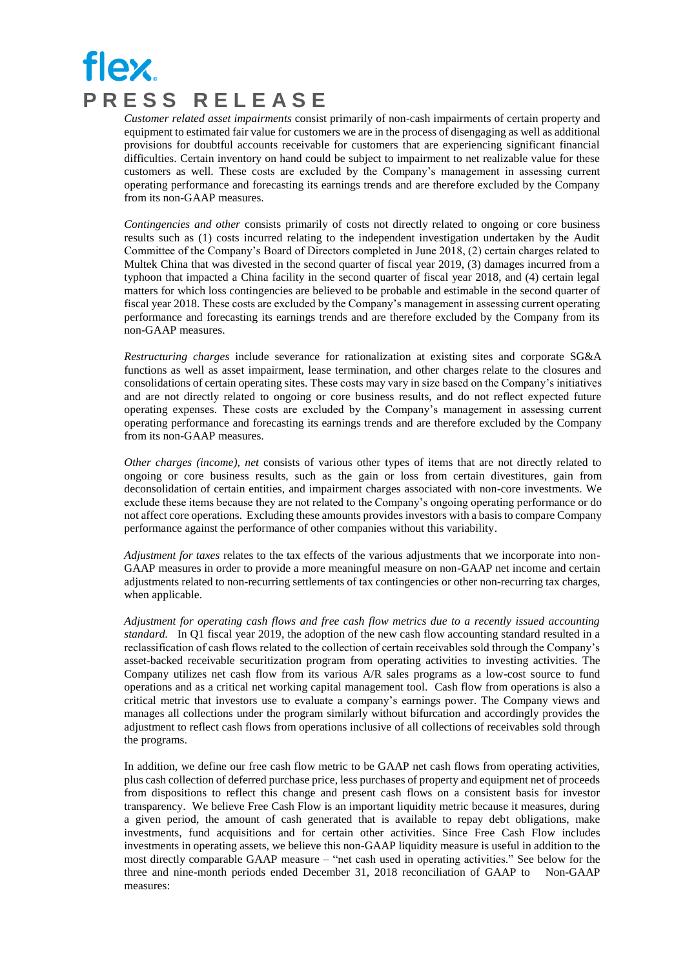*Customer related asset impairments* consist primarily of non-cash impairments of certain property and equipment to estimated fair value for customers we are in the process of disengaging as well as additional provisions for doubtful accounts receivable for customers that are experiencing significant financial difficulties. Certain inventory on hand could be subject to impairment to net realizable value for these customers as well. These costs are excluded by the Company's management in assessing current operating performance and forecasting its earnings trends and are therefore excluded by the Company from its non-GAAP measures.

*Contingencies and other* consists primarily of costs not directly related to ongoing or core business results such as (1) costs incurred relating to the independent investigation undertaken by the Audit Committee of the Company's Board of Directors completed in June 2018, (2) certain charges related to Multek China that was divested in the second quarter of fiscal year 2019, (3) damages incurred from a typhoon that impacted a China facility in the second quarter of fiscal year 2018, and (4) certain legal matters for which loss contingencies are believed to be probable and estimable in the second quarter of fiscal year 2018. These costs are excluded by the Company's management in assessing current operating performance and forecasting its earnings trends and are therefore excluded by the Company from its non-GAAP measures.

*Restructuring charges* include severance for rationalization at existing sites and corporate SG&A functions as well as asset impairment, lease termination, and other charges relate to the closures and consolidations of certain operating sites. These costs may vary in size based on the Company's initiatives and are not directly related to ongoing or core business results, and do not reflect expected future operating expenses. These costs are excluded by the Company's management in assessing current operating performance and forecasting its earnings trends and are therefore excluded by the Company from its non-GAAP measures.

*Other charges (income), net* consists of various other types of items that are not directly related to ongoing or core business results, such as the gain or loss from certain divestitures, gain from deconsolidation of certain entities, and impairment charges associated with non-core investments. We exclude these items because they are not related to the Company's ongoing operating performance or do not affect core operations. Excluding these amounts provides investors with a basis to compare Company performance against the performance of other companies without this variability.

*Adjustment for taxes* relates to the tax effects of the various adjustments that we incorporate into non-GAAP measures in order to provide a more meaningful measure on non-GAAP net income and certain adjustments related to non-recurring settlements of tax contingencies or other non-recurring tax charges, when applicable.

*Adjustment for operating cash flows and free cash flow metrics due to a recently issued accounting standard.* In Q1 fiscal year 2019, the adoption of the new cash flow accounting standard resulted in a reclassification of cash flows related to the collection of certain receivables sold through the Company's asset-backed receivable securitization program from operating activities to investing activities. The Company utilizes net cash flow from its various A/R sales programs as a low-cost source to fund operations and as a critical net working capital management tool. Cash flow from operations is also a critical metric that investors use to evaluate a company's earnings power. The Company views and manages all collections under the program similarly without bifurcation and accordingly provides the adjustment to reflect cash flows from operations inclusive of all collections of receivables sold through the programs.

In addition, we define our free cash flow metric to be GAAP net cash flows from operating activities, plus cash collection of deferred purchase price, less purchases of property and equipment net of proceeds from dispositions to reflect this change and present cash flows on a consistent basis for investor transparency. We believe Free Cash Flow is an important liquidity metric because it measures, during a given period, the amount of cash generated that is available to repay debt obligations, make investments, fund acquisitions and for certain other activities. Since Free Cash Flow includes investments in operating assets, we believe this non-GAAP liquidity measure is useful in addition to the most directly comparable GAAP measure – "net cash used in operating activities." See below for the three and nine-month periods ended December 31, 2018 reconciliation of GAAP to Non-GAAP measures: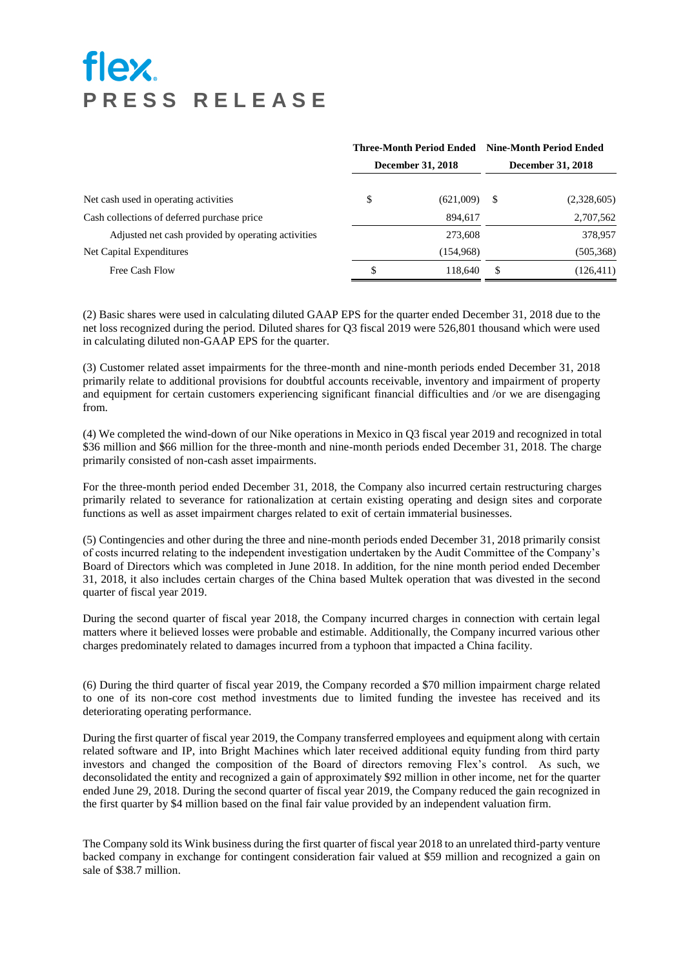|                                                    |                   | <b>Three-Month Period Ended</b> |                          | <b>Nine-Month Period Ended</b> |
|----------------------------------------------------|-------------------|---------------------------------|--------------------------|--------------------------------|
|                                                    | December 31, 2018 |                                 | <b>December 31, 2018</b> |                                |
| Net cash used in operating activities              | \$                | (621,009)                       | -S                       | (2,328,605)                    |
| Cash collections of deferred purchase price        |                   | 894.617                         |                          | 2,707,562                      |
| Adjusted net cash provided by operating activities |                   | 273,608                         |                          | 378,957                        |
| Net Capital Expenditures                           |                   | (154,968)                       |                          | (505, 368)                     |
| Free Cash Flow                                     | \$                | 118,640                         | \$                       | (126, 411)                     |

(2) Basic shares were used in calculating diluted GAAP EPS for the quarter ended December 31, 2018 due to the net loss recognized during the period. Diluted shares for Q3 fiscal 2019 were 526,801 thousand which were used in calculating diluted non-GAAP EPS for the quarter.

(3) Customer related asset impairments for the three-month and nine-month periods ended December 31, 2018 primarily relate to additional provisions for doubtful accounts receivable, inventory and impairment of property and equipment for certain customers experiencing significant financial difficulties and /or we are disengaging from.

(4) We completed the wind-down of our Nike operations in Mexico in Q3 fiscal year 2019 and recognized in total \$36 million and \$66 million for the three-month and nine-month periods ended December 31, 2018. The charge primarily consisted of non-cash asset impairments.

For the three-month period ended December 31, 2018, the Company also incurred certain restructuring charges primarily related to severance for rationalization at certain existing operating and design sites and corporate functions as well as asset impairment charges related to exit of certain immaterial businesses.

(5) Contingencies and other during the three and nine-month periods ended December 31, 2018 primarily consist of costs incurred relating to the independent investigation undertaken by the Audit Committee of the Company's Board of Directors which was completed in June 2018. In addition, for the nine month period ended December 31, 2018, it also includes certain charges of the China based Multek operation that was divested in the second quarter of fiscal year 2019.

During the second quarter of fiscal year 2018, the Company incurred charges in connection with certain legal matters where it believed losses were probable and estimable. Additionally, the Company incurred various other charges predominately related to damages incurred from a typhoon that impacted a China facility.

(6) During the third quarter of fiscal year 2019, the Company recorded a \$70 million impairment charge related to one of its non-core cost method investments due to limited funding the investee has received and its deteriorating operating performance.

During the first quarter of fiscal year 2019, the Company transferred employees and equipment along with certain related software and IP, into Bright Machines which later received additional equity funding from third party investors and changed the composition of the Board of directors removing Flex's control. As such, we deconsolidated the entity and recognized a gain of approximately \$92 million in other income, net for the quarter ended June 29, 2018. During the second quarter of fiscal year 2019, the Company reduced the gain recognized in the first quarter by \$4 million based on the final fair value provided by an independent valuation firm.

The Company sold its Wink business during the first quarter of fiscal year 2018 to an unrelated third-party venture backed company in exchange for contingent consideration fair valued at \$59 million and recognized a gain on sale of \$38.7 million.